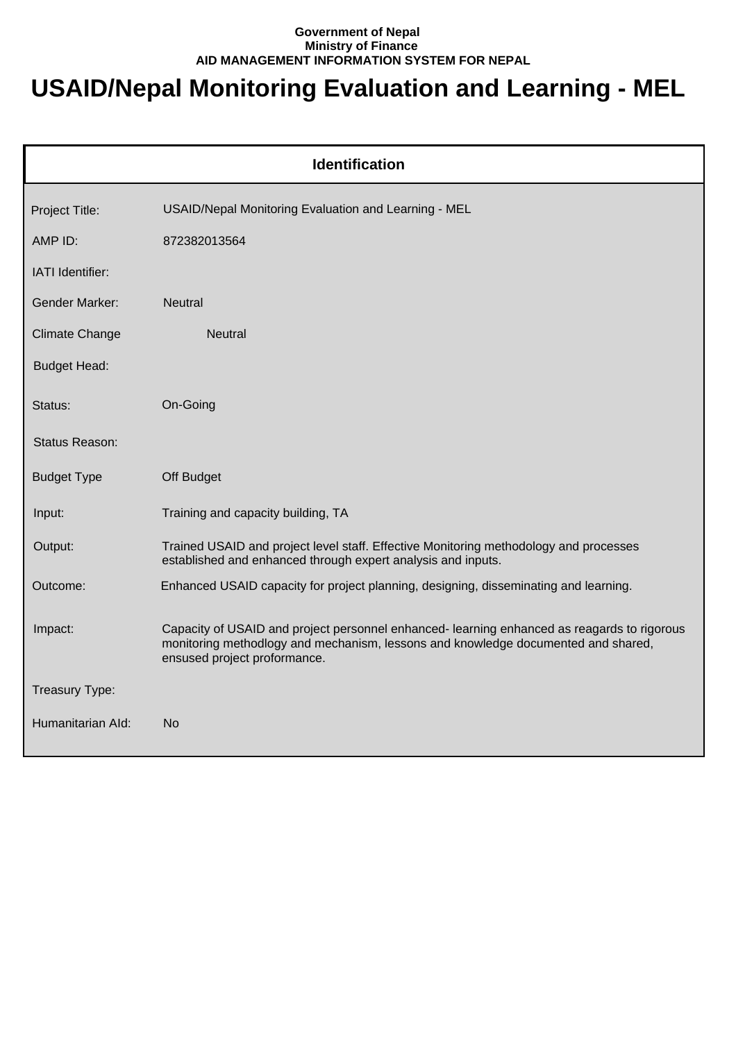## **Government of Nepal Ministry of Finance AID MANAGEMENT INFORMATION SYSTEM FOR NEPAL**

## **USAID/Nepal Monitoring Evaluation and Learning - MEL**

| <b>Identification</b> |                                                                                                                                                                                                                 |  |
|-----------------------|-----------------------------------------------------------------------------------------------------------------------------------------------------------------------------------------------------------------|--|
| Project Title:        | USAID/Nepal Monitoring Evaluation and Learning - MEL                                                                                                                                                            |  |
| AMP ID:               | 872382013564                                                                                                                                                                                                    |  |
| IATI Identifier:      |                                                                                                                                                                                                                 |  |
| <b>Gender Marker:</b> | <b>Neutral</b>                                                                                                                                                                                                  |  |
| <b>Climate Change</b> | <b>Neutral</b>                                                                                                                                                                                                  |  |
| <b>Budget Head:</b>   |                                                                                                                                                                                                                 |  |
| Status:               | On-Going                                                                                                                                                                                                        |  |
| Status Reason:        |                                                                                                                                                                                                                 |  |
| <b>Budget Type</b>    | Off Budget                                                                                                                                                                                                      |  |
| Input:                | Training and capacity building, TA                                                                                                                                                                              |  |
| Output:               | Trained USAID and project level staff. Effective Monitoring methodology and processes<br>established and enhanced through expert analysis and inputs.                                                           |  |
| Outcome:              | Enhanced USAID capacity for project planning, designing, disseminating and learning.                                                                                                                            |  |
| Impact:               | Capacity of USAID and project personnel enhanced-learning enhanced as reagards to rigorous<br>monitoring methodlogy and mechanism, lessons and knowledge documented and shared,<br>ensused project proformance. |  |
| Treasury Type:        |                                                                                                                                                                                                                 |  |
| Humanitarian Ald:     | No                                                                                                                                                                                                              |  |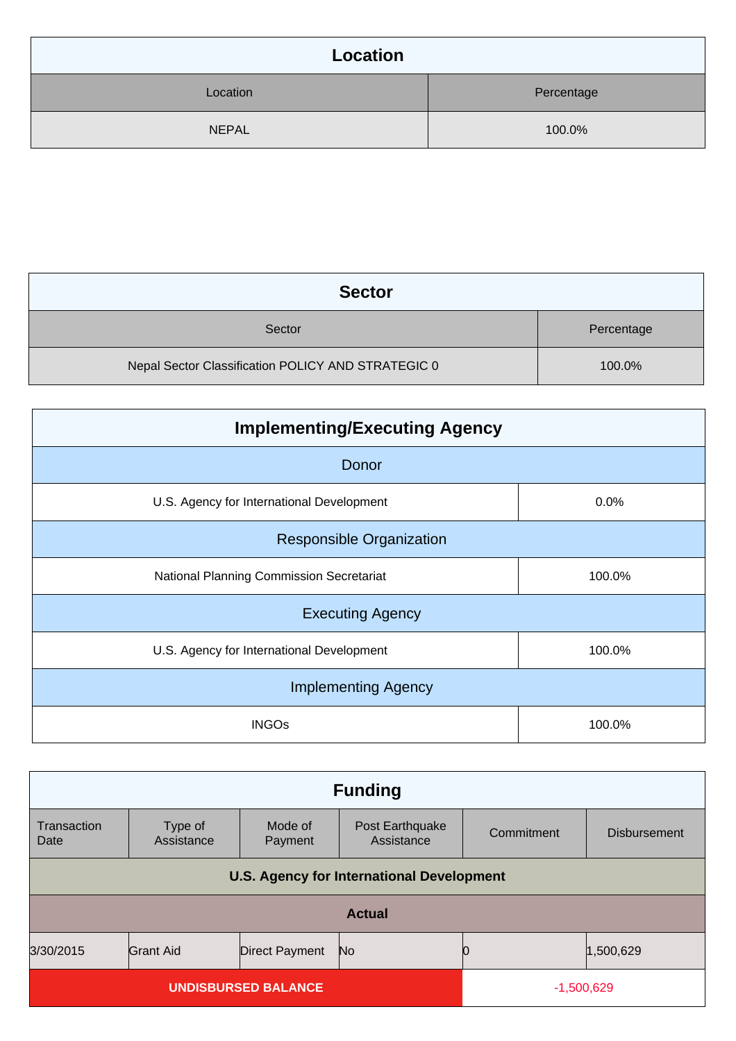| Location     |            |
|--------------|------------|
| Location     | Percentage |
| <b>NEPAL</b> | 100.0%     |

| <b>Sector</b>                                      |            |
|----------------------------------------------------|------------|
| Sector                                             | Percentage |
| Nepal Sector Classification POLICY AND STRATEGIC 0 | 100.0%     |

| <b>Implementing/Executing Agency</b>      |        |  |  |
|-------------------------------------------|--------|--|--|
| Donor                                     |        |  |  |
| U.S. Agency for International Development | 0.0%   |  |  |
| <b>Responsible Organization</b>           |        |  |  |
| National Planning Commission Secretariat  | 100.0% |  |  |
| <b>Executing Agency</b>                   |        |  |  |
| U.S. Agency for International Development | 100.0% |  |  |
| <b>Implementing Agency</b>                |        |  |  |
| <b>INGOs</b>                              | 100.0% |  |  |

| <b>Funding</b>                                   |                       |                       |                               |            |                     |
|--------------------------------------------------|-----------------------|-----------------------|-------------------------------|------------|---------------------|
| Transaction<br>Date                              | Type of<br>Assistance | Mode of<br>Payment    | Post Earthquake<br>Assistance | Commitment | <b>Disbursement</b> |
| <b>U.S. Agency for International Development</b> |                       |                       |                               |            |                     |
| <b>Actual</b>                                    |                       |                       |                               |            |                     |
| 3/30/2015                                        | <b>Grant Aid</b>      | <b>Direct Payment</b> | No                            |            | 1,500,629           |
| <b>UNDISBURSED BALANCE</b>                       |                       | $-1,500,629$          |                               |            |                     |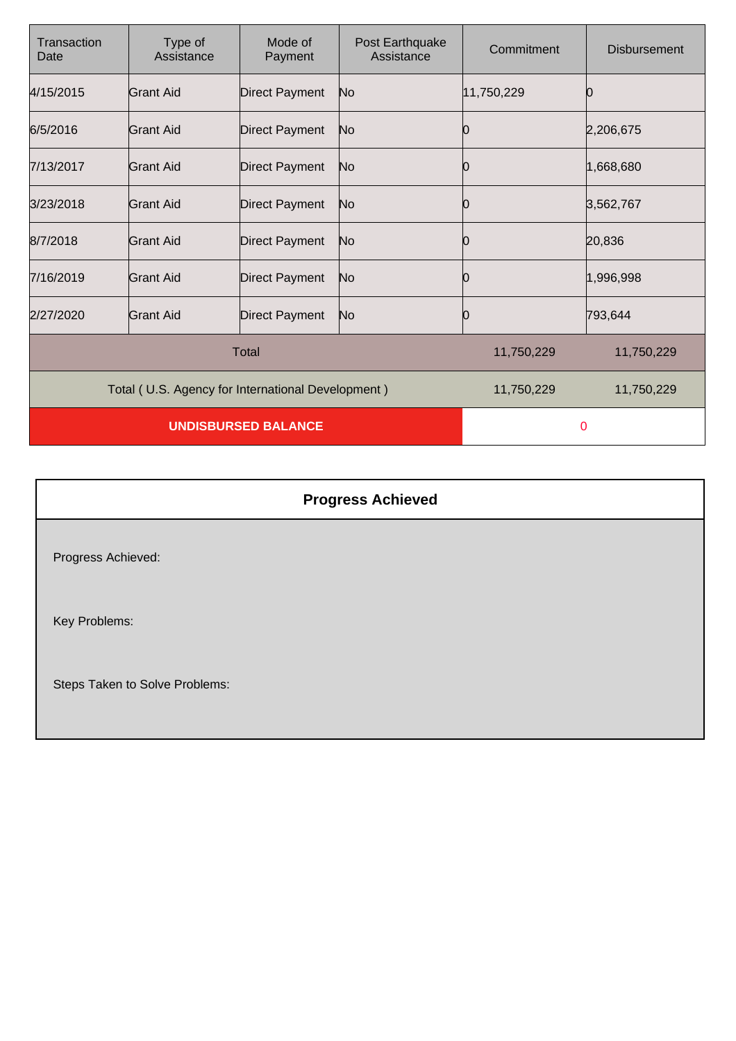| Transaction<br>Date                               | Type of<br>Assistance | Mode of<br>Payment    | Post Earthquake<br>Assistance | Commitment | <b>Disbursement</b> |
|---------------------------------------------------|-----------------------|-----------------------|-------------------------------|------------|---------------------|
| 4/15/2015                                         | Grant Aid             | <b>Direct Payment</b> | No                            | 11,750,229 |                     |
| 6/5/2016                                          | Grant Aid             | <b>Direct Payment</b> | No                            | Ю          | 2,206,675           |
| 7/13/2017                                         | Grant Aid             | <b>Direct Payment</b> | No.                           | Ю          | 1,668,680           |
| 3/23/2018                                         | Grant Aid             | <b>Direct Payment</b> | No.                           | Ю          | 3,562,767           |
| 8/7/2018                                          | <b>Grant Aid</b>      | <b>Direct Payment</b> | No                            | Ю          | 20,836              |
| 7/16/2019                                         | <b>Grant Aid</b>      | <b>Direct Payment</b> | No.                           | 10         | 1,996,998           |
| 2/27/2020                                         | <b>Grant Aid</b>      | <b>Direct Payment</b> | N <sub>o</sub>                | Ю          | 793,644             |
|                                                   |                       | <b>Total</b>          |                               | 11,750,229 | 11,750,229          |
| Total (U.S. Agency for International Development) |                       |                       | 11,750,229                    | 11,750,229 |                     |
| <b>UNDISBURSED BALANCE</b>                        |                       |                       | $\mathbf 0$                   |            |                     |

| <b>Progress Achieved</b>       |  |
|--------------------------------|--|
| Progress Achieved:             |  |
| Key Problems:                  |  |
| Steps Taken to Solve Problems: |  |